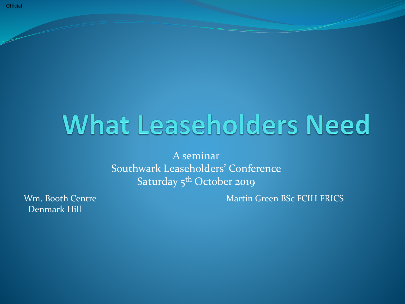# **What Leaseholders Need**

A seminar Southwark Leaseholders' Conference Saturday 5<sup>th</sup> October 2019

Denmark Hill

Wm. Booth Centre Martin Green BSc FCIH FRICS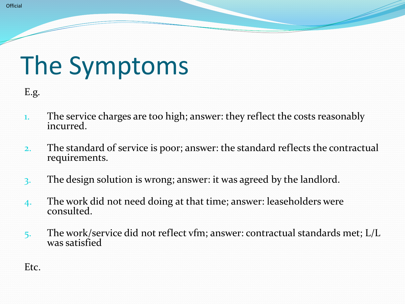# The Symptoms

E.g.

- 1. The service charges are too high; answer: they reflect the costs reasonably incurred.
- 2. The standard of service is poor; answer: the standard reflects the contractual requirements.
- 3. The design solution is wrong; answer: it was agreed by the landlord.
- 4. The work did not need doing at that time; answer: leaseholders were c0nsulted.
- 5. The work/service did not reflect vfm; answer: contractual standards met; L/L was satisfied

Etc.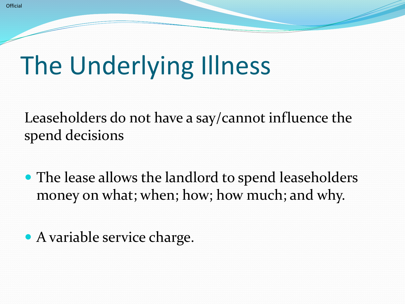# The Underlying Illness

Leaseholders do not have a say/cannot influence the spend decisions

- The lease allows the landlord to spend leaseholders money on what; when; how; how much; and why.
- A variable service charge.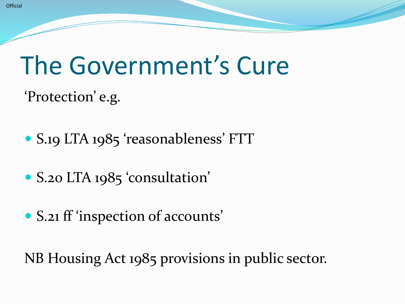### The Government's Cure

'Protection' e.g.

- S.19 LTA 1985 'reasonableness' FTT
- S.20 LTA 1985 'consultation'
- S.21 ff 'inspection of accounts'

NB Housing Act 1985 provisions in public sector.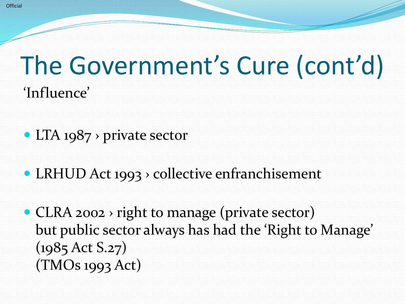#### The Government's Cure (cont'd) 'Influence'

- LTA 1987 > private sector
- LRHUD Act 1993 > collective enfranchisement
- CLRA 2002 > right to manage (private sector) but public sector always has had the 'Right to Manage' (1985 Act S.27) (TMOs 1993 Act)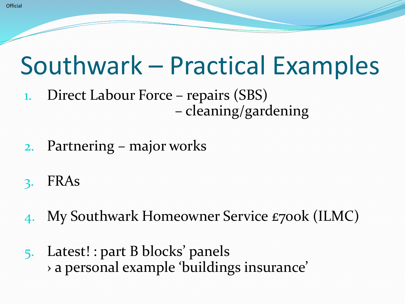#### Southwark – Practical Examples

- 1. Direct Labour Force repairs (SBS) – cleaning/gardening
- 2. Partnering major works
- 3. FRAs
- 4. My Southwark Homeowner Service £700k (ILMC)
- 5. Latest! : part B blocks' panels › a personal example 'buildings insurance'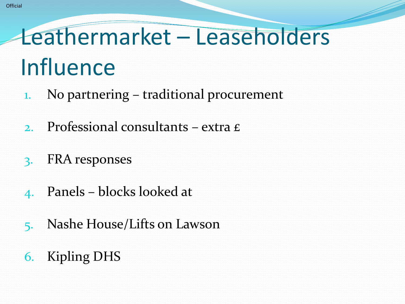### Leathermarket – Leaseholders Influence

- 1. No partnering traditional procurement
- 2. Professional consultants extra £
- 3. FRA responses
- 4. Panels blocks looked at
- 5. Nashe House/Lifts on Lawson
- 6. Kipling DHS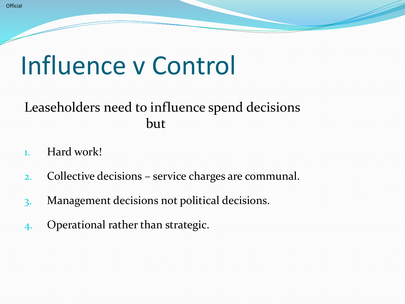### Influence v Control

#### Leaseholders need to influence spend decisions but

- 1. Hard work!
- 2. Collective decisions service charges are communal.
- 3. Management decisions not political decisions.
- 4. Operational rather than strategic.